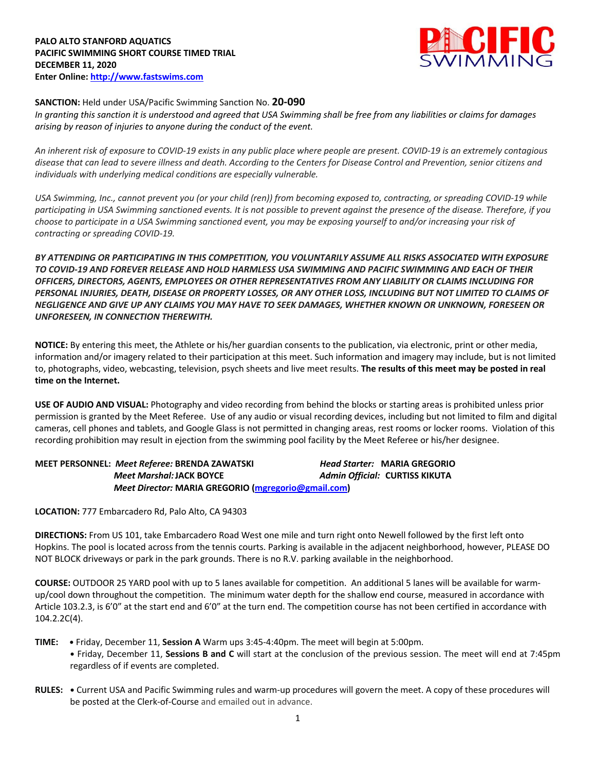

## **SANCTION:** Held under USA/Pacific Swimming Sanction No. **20-090**

*In granting this sanction it is understood and agreed that USA Swimming shall be free from any liabilities or claims for damages arising by reason of injuries to anyone during the conduct of the event.* 

*An inherent risk of exposure to COVID-19 exists in any public place where people are present. COVID-19 is an extremely contagious disease that can lead to severe illness and death. According to the Centers for Disease Control and Prevention, senior citizens and individuals with underlying medical conditions are especially vulnerable.*

*USA Swimming, Inc., cannot prevent you (or your child (ren)) from becoming exposed to, contracting, or spreading COVID-19 while participating in USA Swimming sanctioned events. It is not possible to prevent against the presence of the disease. Therefore, if you choose to participate in a USA Swimming sanctioned event, you may be exposing yourself to and/or increasing your risk of contracting or spreading COVID-19.*

*BY ATTENDING OR PARTICIPATING IN THIS COMPETITION, YOU VOLUNTARILY ASSUME ALL RISKS ASSOCIATED WITH EXPOSURE TO COVID-19 AND FOREVER RELEASE AND HOLD HARMLESS USA SWIMMING AND PACIFIC SWIMMING AND EACH OF THEIR OFFICERS, DIRECTORS, AGENTS, EMPLOYEES OR OTHER REPRESENTATIVES FROM ANY LIABILITY OR CLAIMS INCLUDING FOR PERSONAL INJURIES, DEATH, DISEASE OR PROPERTY LOSSES, OR ANY OTHER LOSS, INCLUDING BUT NOT LIMITED TO CLAIMS OF NEGLIGENCE AND GIVE UP ANY CLAIMS YOU MAY HAVE TO SEEK DAMAGES, WHETHER KNOWN OR UNKNOWN, FORESEEN OR UNFORESEEN, IN CONNECTION THEREWITH.*

**NOTICE:** By entering this meet, the Athlete or his/her guardian consents to the publication, via electronic, print or other media, information and/or imagery related to their participation at this meet. Such information and imagery may include, but is not limited to, photographs, video, webcasting, television, psych sheets and live meet results. **The results of this meet may be posted in real time on the Internet.**

**USE OF AUDIO AND VISUAL:** Photography and video recording from behind the blocks or starting areas is prohibited unless prior permission is granted by the Meet Referee. Use of any audio or visual recording devices, including but not limited to film and digital cameras, cell phones and tablets, and Google Glass is not permitted in changing areas, rest rooms or locker rooms. Violation of this recording prohibition may result in ejection from the swimming pool facility by the Meet Referee or his/her designee.

| MEET PERSONNEL: Meet Referee: BRENDA ZAWATSKI       |  | <b>Head Starter: MARIA GREGORIO</b> |  |
|-----------------------------------------------------|--|-------------------------------------|--|
| <b>Meet Marshal: JACK BOYCE</b>                     |  | Admin Official: CURTISS KIKUTA      |  |
| Meet Director: MARIA GREGORIO (mgregorio@gmail.com) |  |                                     |  |

**LOCATION:** 777 Embarcadero Rd, Palo Alto, CA 94303

**DIRECTIONS:** From US 101, take Embarcadero Road West one mile and turn right onto Newell followed by the first left onto Hopkins. The pool is located across from the tennis courts. Parking is available in the adjacent neighborhood, however, PLEASE DO NOT BLOCK driveways or park in the park grounds. There is no R.V. parking available in the neighborhood.

**COURSE:** OUTDOOR 25 YARD pool with up to 5 lanes available for competition. An additional 5 lanes will be available for warmup/cool down throughout the competition. The minimum water depth for the shallow end course, measured in accordance with Article 103.2.3, is 6'0" at the start end and 6'0" at the turn end. The competition course has not been certified in accordance with 104.2.2C(4).

- **TIME: •** Friday, December 11, **Session A** Warm ups 3:45-4:40pm. The meet will begin at 5:00pm. **•** Friday, December 11, **Sessions B and C** will start at the conclusion of the previous session. The meet will end at 7:45pm regardless of if events are completed.
- **RULES: •** Current USA and Pacific Swimming rules and warm-up procedures will govern the meet. A copy of these procedures will be posted at the Clerk-of-Course and emailed out in advance.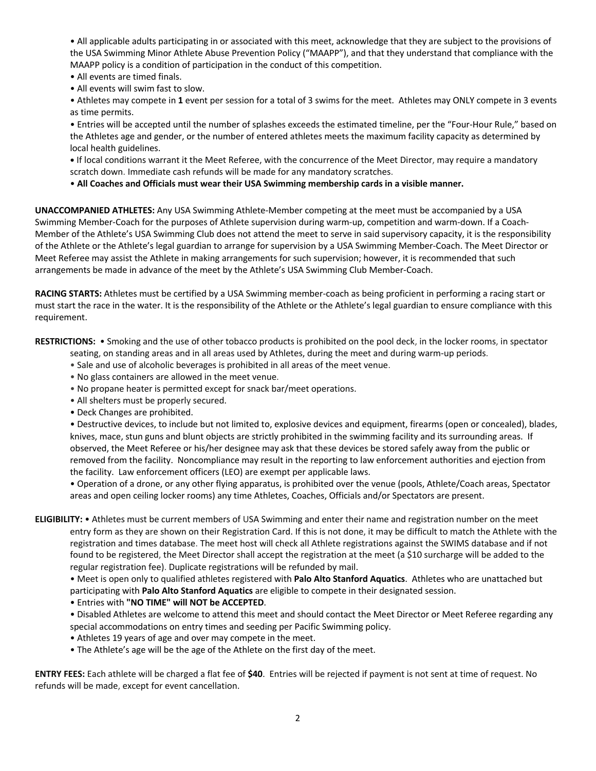• All applicable adults participating in or associated with this meet, acknowledge that they are subject to the provisions of the USA Swimming Minor Athlete Abuse Prevention Policy ("MAAPP"), and that they understand that compliance with the MAAPP policy is a condition of participation in the conduct of this competition.

- All events are timed finals.
- All events will swim fast to slow.

• Athletes may compete in **1** event per session for a total of 3 swims for the meet. Athletes may ONLY compete in 3 events as time permits.

• Entries will be accepted until the number of splashes exceeds the estimated timeline, per the "Four-Hour Rule," based on the Athletes age and gender, or the number of entered athletes meets the maximum facility capacity as determined by local health guidelines.

**•** If local conditions warrant it the Meet Referee, with the concurrence of the Meet Director, may require a mandatory scratch down. Immediate cash refunds will be made for any mandatory scratches.

• **All Coaches and Officials must wear their USA Swimming membership cards in a visible manner.** 

**UNACCOMPANIED ATHLETES:** Any USA Swimming Athlete-Member competing at the meet must be accompanied by a USA Swimming Member-Coach for the purposes of Athlete supervision during warm-up, competition and warm-down. If a Coach-Member of the Athlete's USA Swimming Club does not attend the meet to serve in said supervisory capacity, it is the responsibility of the Athlete or the Athlete's legal guardian to arrange for supervision by a USA Swimming Member-Coach. The Meet Director or Meet Referee may assist the Athlete in making arrangements for such supervision; however, it is recommended that such arrangements be made in advance of the meet by the Athlete's USA Swimming Club Member-Coach.

**RACING STARTS:** Athletes must be certified by a USA Swimming member-coach as being proficient in performing a racing start or must start the race in the water. It is the responsibility of the Athlete or the Athlete's legal guardian to ensure compliance with this requirement.

**RESTRICTIONS:** • Smoking and the use of other tobacco products is prohibited on the pool deck, in the locker rooms, in spectator

- seating, on standing areas and in all areas used by Athletes, during the meet and during warm-up periods.
- Sale and use of alcoholic beverages is prohibited in all areas of the meet venue.
- No glass containers are allowed in the meet venue.
- No propane heater is permitted except for snack bar/meet operations.
- All shelters must be properly secured.
- Deck Changes are prohibited.

• Destructive devices, to include but not limited to, explosive devices and equipment, firearms (open or concealed), blades, knives, mace, stun guns and blunt objects are strictly prohibited in the swimming facility and its surrounding areas. If observed, the Meet Referee or his/her designee may ask that these devices be stored safely away from the public or removed from the facility. Noncompliance may result in the reporting to law enforcement authorities and ejection from the facility. Law enforcement officers (LEO) are exempt per applicable laws.

• Operation of a drone, or any other flying apparatus, is prohibited over the venue (pools, Athlete/Coach areas, Spectator areas and open ceiling locker rooms) any time Athletes, Coaches, Officials and/or Spectators are present.

**ELIGIBILITY:** • Athletes must be current members of USA Swimming and enter their name and registration number on the meet entry form as they are shown on their Registration Card. If this is not done, it may be difficult to match the Athlete with the registration and times database. The meet host will check all Athlete registrations against the SWIMS database and if not found to be registered, the Meet Director shall accept the registration at the meet (a \$10 surcharge will be added to the regular registration fee). Duplicate registrations will be refunded by mail.

• Meet is open only to qualified athletes registered with **Palo Alto Stanford Aquatics**. Athletes who are unattached but participating with **Palo Alto Stanford Aquatics** are eligible to compete in their designated session.

- Entries with **"NO TIME" will NOT be ACCEPTED**.
- Disabled Athletes are welcome to attend this meet and should contact the Meet Director or Meet Referee regarding any special accommodations on entry times and seeding per Pacific Swimming policy.
- Athletes 19 years of age and over may compete in the meet.
- The Athlete's age will be the age of the Athlete on the first day of the meet.

**ENTRY FEES:** Each athlete will be charged a flat fee of **\$40**. Entries will be rejected if payment is not sent at time of request. No refunds will be made, except for event cancellation.